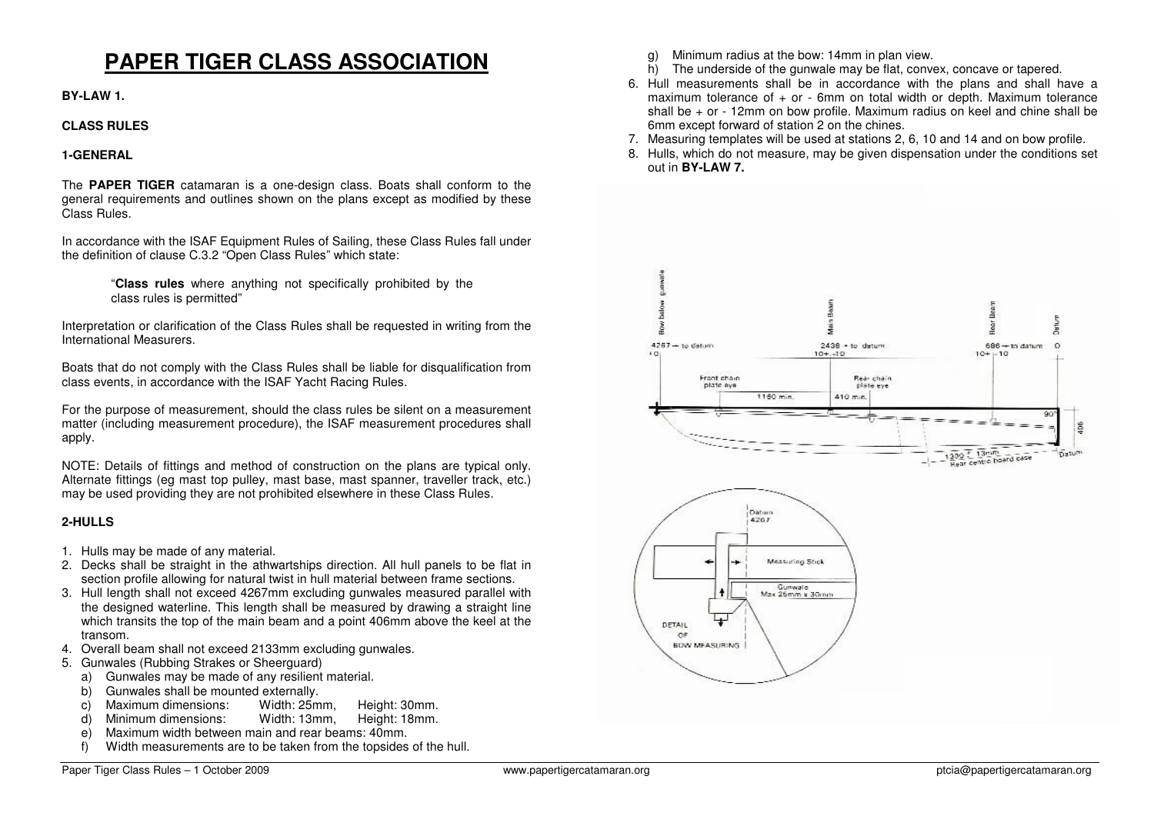# **PAPER TIGER CLASS ASSOCIATION**

# **BY-LAW 1.**

# **CLASS RULES**

#### **1-GENERAL**

The **PAPER TIGER** catamaran is a one-design class. Boats shall conform to the general requirements and outlines shown on the plans except as modified by these Class Rules.

In accordance with the ISAF Equipment Rules of Sailing, these Class Rules fall under the definition of clause C.3.2 "Open Class Rules" which state:

> "**Class rules** where anything not specifically prohibited by the class rules is permitted"

Interpretation or clarification of the Class Rules shall be requested in writing from the International Measurers.

Boats that do not comply with the Class Rules shall be liable for disqualification from class events, in accordance with the ISAF Yacht Racing Rules.

For the purpose of measurement, should the class rules be silent on a measurement matter (including measurement procedure), the ISAF measurement procedures shall apply.

NOTE: Details of fittings and method of construction on the plans are typical only. Alternate fittings (eg mast top pulley, mast base, mast spanner, traveller track, etc.) may be used providing they are not prohibited elsewhere in these Class Rules.

## **2-HULLS**

- 1. Hulls may be made of any material.
- 2. Decks shall be straight in the athwartships direction. All hull panels to be flat in section profile allowing for natural twist in hull material between frame sections.
- 3. Hull length shall not exceed 4267mm excluding gunwales measured parallel with the designed waterline. This length shall be measured by drawing a straight line which transits the top of the main beam and a point 406mm above the keel at the transom.
- 4. Overall beam shall not exceed 2133mm excluding gunwales.
- 5. Gunwales (Rubbing Strakes or Sheerguard)
	- a) Gunwales may be made of any resilient material.
	- b) Gunwales shall be mounted externally.
	- Width: 25mm. c) Maximum dimensions: Width: 25mm, Height: 30mm.
	- Height: 18mm.  $\mathsf{d}$ ) Minimum dimensions: Width: 13mm.
	- e) Maximum width between main and rear beams: 40mm.
	- f) Width measurements are to be taken from the topsides of the hull.
- g) Minimum radius at the bow: 14mm in plan view.
- h) The underside of the gunwale may be flat, convex, concave or tapered.
- 6. Hull measurements shall be in accordance with the plans and shall have a maximum tolerance of + or - 6mm on total width or depth. Maximum tolerance shall be + or - 12mm on bow profile. Maximum radius on keel and chine shall be 6mm except forward of station 2 on the chines.
- 7. Measuring templates will be used at stations 2, 6, 10 and 14 and on bow profile.
- 8. Hulls, which do not measure, may be given dispensation under the conditions set out in **BY-LAW 7.**



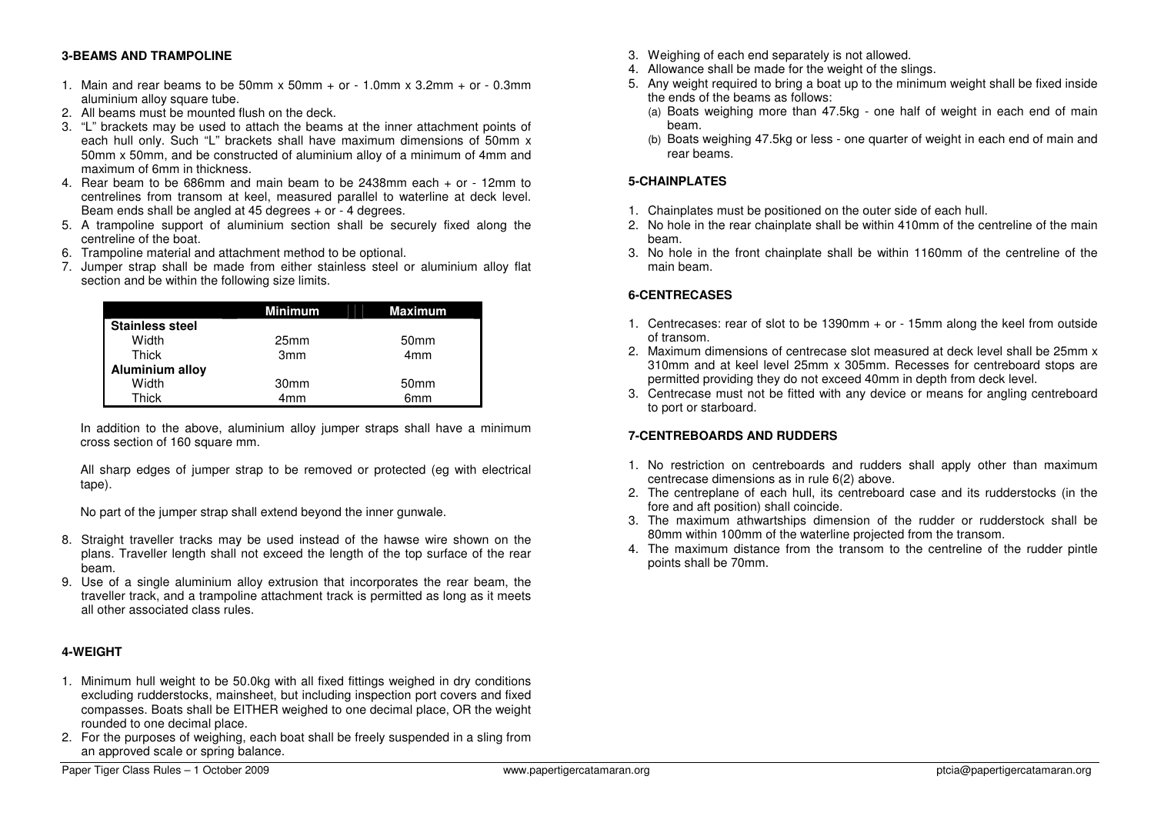## **3-BEAMS AND TRAMPOLINE**

- 1. Main and rear beams to be 50mm x 50mm + or 1.0mm x 3.2mm + or 0.3mm aluminium alloy square tube.
- 2. All beams must be mounted flush on the deck.
- 3. "L" brackets may be used to attach the beams at the inner attachment points of each hull only. Such "L" brackets shall have maximum dimensions of 50mm x 50mm x 50mm, and be constructed of aluminium alloy of a minimum of 4mm and maximum of 6mm in thickness.
- 4. Rear beam to be 686mm and main beam to be 2438mm each + or 12mm to centrelines from transom at keel, measured parallel to waterline at deck level. Beam ends shall be angled at 45 degrees + or - 4 degrees.
- 5. A trampoline support of aluminium section shall be securely fixed along the centreline of the boat.
- 6. Trampoline material and attachment method to be optional.
- 7. Jumper strap shall be made from either stainless steel or aluminium alloy flat section and be within the following size limits.

|                        | <b>Minimum</b>   | <b>Maximum</b>   |
|------------------------|------------------|------------------|
| <b>Stainless steel</b> |                  |                  |
| Width                  | 25mm             | 50 <sub>mm</sub> |
| Thick                  | 3 <sub>mm</sub>  | 4 <sub>mm</sub>  |
| <b>Aluminium alloy</b> |                  |                  |
| Width                  | 30 <sub>mm</sub> | 50 <sub>mm</sub> |
| Thick                  | 4mm              | 6mm              |

In addition to the above, aluminium alloy jumper straps shall have a minimum cross section of 160 square mm.

All sharp edges of jumper strap to be removed or protected (eg with electrical tape).

No part of the jumper strap shall extend beyond the inner gunwale.

- 8. Straight traveller tracks may be used instead of the hawse wire shown on the plans. Traveller length shall not exceed the length of the top surface of the rear beam.
- 9. Use of a single aluminium alloy extrusion that incorporates the rear beam, the traveller track, and a trampoline attachment track is permitted as long as it meets all other associated class rules.

## **4-WEIGHT**

- 1. Minimum hull weight to be 50.0kg with all fixed fittings weighed in dry conditions excluding rudderstocks, mainsheet, but including inspection port covers and fixed compasses. Boats shall be EITHER weighed to one decimal place, OR the weight rounded to one decimal place.
- 2. For the purposes of weighing, each boat shall be freely suspended in a sling from an approved scale or spring balance.
- 3. Weighing of each end separately is not allowed.
- 4. Allowance shall be made for the weight of the slings.
- 5. Any weight required to bring a boat up to the minimum weight shall be fixed inside the ends of the beams as follows:
	- (a) Boats weighing more than 47.5kg one half of weight in each end of main beam.
	- (b) Boats weighing 47.5kg or less one quarter of weight in each end of main and rear beams.

# **5-CHAINPLATES**

- 1. Chainplates must be positioned on the outer side of each hull.
- 2. No hole in the rear chainplate shall be within 410mm of the centreline of the main beam.
- 3. No hole in the front chainplate shall be within 1160mm of the centreline of the main beam.

## **6-CENTRECASES**

- 1. Centrecases: rear of slot to be 1390mm + or 15mm along the keel from outside of transom.
- 2. Maximum dimensions of centrecase slot measured at deck level shall be 25mm x 310mm and at keel level 25mm x 305mm. Recesses for centreboard stops are permitted providing they do not exceed 40mm in depth from deck level.
- 3. Centrecase must not be fitted with any device or means for angling centreboard to port or starboard.

## **7-CENTREBOARDS AND RUDDERS**

- 1. No restriction on centreboards and rudders shall apply other than maximum centrecase dimensions as in rule 6(2) above.
- 2. The centreplane of each hull, its centreboard case and its rudderstocks (in the fore and aft position) shall coincide.
- 3. The maximum athwartships dimension of the rudder or rudderstock shall be 80mm within 100mm of the waterline projected from the transom.
- 4. The maximum distance from the transom to the centreline of the rudder pintle points shall be 70mm.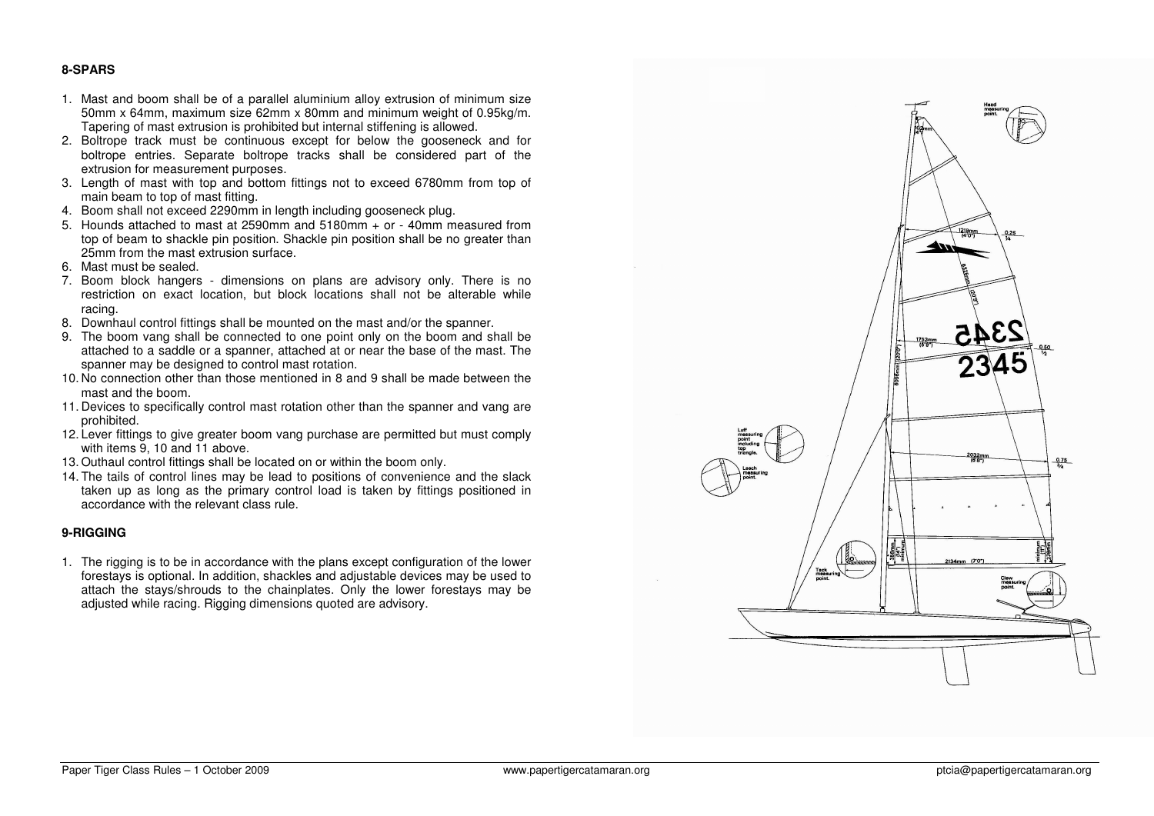#### **8-SPARS**

- 1. Mast and boom shall be of a parallel aluminium alloy extrusion of minimum size 50mm x 64mm, maximum size 62mm x 80mm and minimum weight of 0.95kg/m. Tapering of mast extrusion is prohibited but internal stiffening is allowed.
- 2. Boltrope track must be continuous except for below the gooseneck and for boltrope entries. Separate boltrope tracks shall be considered part of the extrusion for measurement purposes.
- 3. Length of mast with top and bottom fittings not to exceed 6780mm from top of main beam to top of mast fitting.
- 4. Boom shall not exceed 2290mm in length including gooseneck plug.
- 5. Hounds attached to mast at 2590mm and 5180mm + or 40mm measured from top of beam to shackle pin position. Shackle pin position shall be no greater than 25mm from the mast extrusion surface.
- 6. Mast must be sealed.
- 7. Boom block hangers dimensions on plans are advisory only. There is no restriction on exact location, but block locations shall not be alterable while racing.
- 8. Downhaul control fittings shall be mounted on the mast and/or the spanner.
- 9. The boom vang shall be connected to one point only on the boom and shall be attached to a saddle or a spanner, attached at or near the base of the mast. The spanner may be designed to control mast rotation.
- 10. No connection other than those mentioned in 8 and 9 shall be made between the mast and the boom.
- 11. Devices to specifically control mast rotation other than the spanner and vang are prohibited.
- 12. Lever fittings to give greater boom vang purchase are permitted but must comply with items 9, 10 and 11 above.
- 13. Outhaul control fittings shall be located on or within the boom only.
- 14. The tails of control lines may be lead to positions of convenience and the slack taken up as long as the primary control load is taken by fittings positioned in accordance with the relevant class rule.

#### **9-RIGGING**

1. The rigging is to be in accordance with the plans except configuration of the lower forestays is optional. In addition, shackles and adjustable devices may be used to attach the stays/shrouds to the chainplates. Only the lower forestays may be adjusted while racing. Rigging dimensions quoted are advisory.